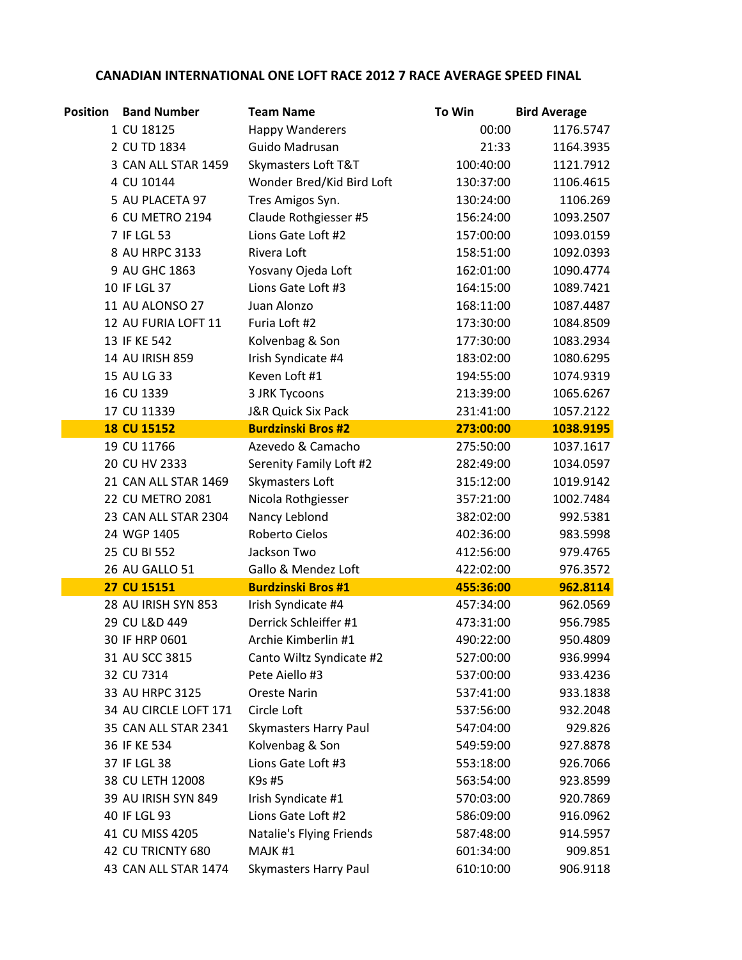## CANADIAN INTERNATIONAL ONE LOFT RACE 2012 7 RACE AVERAGE SPEED FINAL

| <b>Position</b> | <b>Band Number</b>    | <b>Team Name</b>             | To Win    | <b>Bird Average</b> |
|-----------------|-----------------------|------------------------------|-----------|---------------------|
|                 | 1 CU 18125            | <b>Happy Wanderers</b>       | 00:00     | 1176.5747           |
|                 | 2 CU TD 1834          | Guido Madrusan               | 21:33     | 1164.3935           |
|                 | 3 CAN ALL STAR 1459   | Skymasters Loft T&T          | 100:40:00 | 1121.7912           |
|                 | 4 CU 10144            | Wonder Bred/Kid Bird Loft    | 130:37:00 | 1106.4615           |
|                 | 5 AU PLACETA 97       | Tres Amigos Syn.             | 130:24:00 | 1106.269            |
|                 | 6 CU METRO 2194       | Claude Rothgiesser #5        | 156:24:00 | 1093.2507           |
|                 | 7 IF LGL 53           | Lions Gate Loft #2           | 157:00:00 | 1093.0159           |
|                 | 8 AU HRPC 3133        | Rivera Loft                  | 158:51:00 | 1092.0393           |
|                 | 9 AU GHC 1863         | Yosvany Ojeda Loft           | 162:01:00 | 1090.4774           |
|                 | 10 IF LGL 37          | Lions Gate Loft #3           | 164:15:00 | 1089.7421           |
|                 | 11 AU ALONSO 27       | Juan Alonzo                  | 168:11:00 | 1087.4487           |
|                 | 12 AU FURIA LOFT 11   | Furia Loft #2                | 173:30:00 | 1084.8509           |
|                 | 13 IF KE 542          | Kolvenbag & Son              | 177:30:00 | 1083.2934           |
|                 | 14 AU IRISH 859       | Irish Syndicate #4           | 183:02:00 | 1080.6295           |
|                 | 15 AU LG 33           | Keven Loft #1                | 194:55:00 | 1074.9319           |
|                 | 16 CU 1339            | 3 JRK Tycoons                | 213:39:00 | 1065.6267           |
|                 | 17 CU 11339           | J&R Quick Six Pack           | 231:41:00 | 1057.2122           |
|                 | <b>18 CU 15152</b>    | <b>Burdzinski Bros #2</b>    | 273:00:00 | 1038.9195           |
|                 | 19 CU 11766           | Azevedo & Camacho            | 275:50:00 | 1037.1617           |
|                 | 20 CU HV 2333         | Serenity Family Loft #2      | 282:49:00 | 1034.0597           |
|                 | 21 CAN ALL STAR 1469  | Skymasters Loft              | 315:12:00 | 1019.9142           |
|                 | 22 CU METRO 2081      | Nicola Rothgiesser           | 357:21:00 | 1002.7484           |
|                 | 23 CAN ALL STAR 2304  | Nancy Leblond                | 382:02:00 | 992.5381            |
|                 | 24 WGP 1405           | Roberto Cielos               | 402:36:00 | 983.5998            |
|                 | 25 CU BI 552          | Jackson Two                  | 412:56:00 | 979.4765            |
|                 | 26 AU GALLO 51        | Gallo & Mendez Loft          | 422:02:00 | 976.3572            |
|                 | 27 CU 15151           | <b>Burdzinski Bros #1</b>    | 455:36:00 | 962.8114            |
|                 | 28 AU IRISH SYN 853   | Irish Syndicate #4           | 457:34:00 | 962.0569            |
|                 | 29 CU L&D 449         | Derrick Schleiffer #1        | 473:31:00 | 956.7985            |
|                 | 30 IF HRP 0601        | Archie Kimberlin #1          | 490:22:00 | 950.4809            |
|                 | 31 AU SCC 3815        | Canto Wiltz Syndicate #2     | 527:00:00 | 936.9994            |
|                 | 32 CU 7314            | Pete Aiello #3               | 537:00:00 | 933.4236            |
|                 | 33 AU HRPC 3125       | <b>Oreste Narin</b>          | 537:41:00 | 933.1838            |
|                 | 34 AU CIRCLE LOFT 171 | Circle Loft                  | 537:56:00 | 932.2048            |
|                 | 35 CAN ALL STAR 2341  | <b>Skymasters Harry Paul</b> | 547:04:00 | 929.826             |
|                 | 36 IF KE 534          | Kolvenbag & Son              | 549:59:00 | 927.8878            |
|                 | 37 IF LGL 38          | Lions Gate Loft #3           | 553:18:00 | 926.7066            |
|                 | 38 CU LETH 12008      | K9s #5                       | 563:54:00 | 923.8599            |
|                 | 39 AU IRISH SYN 849   | Irish Syndicate #1           | 570:03:00 | 920.7869            |
|                 | 40 IF LGL 93          | Lions Gate Loft #2           | 586:09:00 | 916.0962            |
|                 | 41 CU MISS 4205       | Natalie's Flying Friends     | 587:48:00 | 914.5957            |
|                 | 42 CU TRICNTY 680     | MAJK #1                      | 601:34:00 | 909.851             |
|                 | 43 CAN ALL STAR 1474  | <b>Skymasters Harry Paul</b> | 610:10:00 | 906.9118            |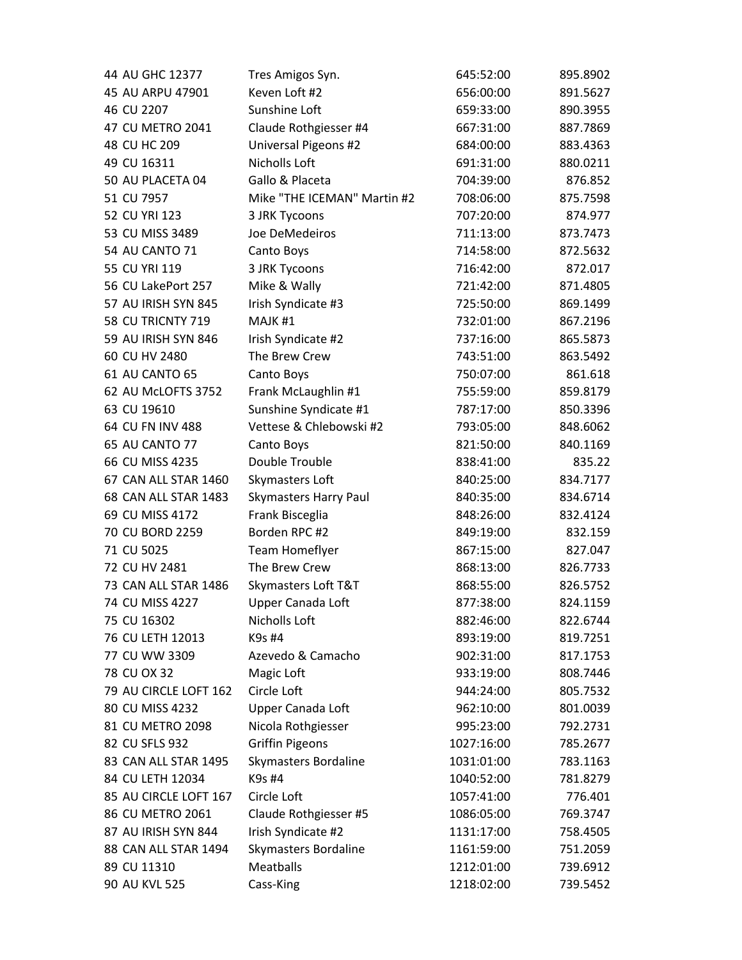| 44 AU GHC 12377       | Tres Amigos Syn.             | 645:52:00  | 895.8902 |
|-----------------------|------------------------------|------------|----------|
| 45 AU ARPU 47901      | Keven Loft #2                | 656:00:00  | 891.5627 |
| 46 CU 2207            | Sunshine Loft                | 659:33:00  | 890.3955 |
| 47 CU METRO 2041      | Claude Rothgiesser #4        | 667:31:00  | 887.7869 |
| 48 CU HC 209          | Universal Pigeons #2         | 684:00:00  | 883.4363 |
| 49 CU 16311           | Nicholls Loft                | 691:31:00  | 880.0211 |
| 50 AU PLACETA 04      | Gallo & Placeta              | 704:39:00  | 876.852  |
| 51 CU 7957            | Mike "THE ICEMAN" Martin #2  | 708:06:00  | 875.7598 |
| 52 CU YRI 123         | 3 JRK Tycoons                | 707:20:00  | 874.977  |
| 53 CU MISS 3489       | Joe DeMedeiros               | 711:13:00  | 873.7473 |
| 54 AU CANTO 71        | Canto Boys                   | 714:58:00  | 872.5632 |
| 55 CU YRI 119         | 3 JRK Tycoons                | 716:42:00  | 872.017  |
| 56 CU LakePort 257    | Mike & Wally                 | 721:42:00  | 871.4805 |
| 57 AU IRISH SYN 845   | Irish Syndicate #3           | 725:50:00  | 869.1499 |
| 58 CU TRICNTY 719     | MAJK <sub>#1</sub>           | 732:01:00  | 867.2196 |
| 59 AU IRISH SYN 846   | Irish Syndicate #2           | 737:16:00  | 865.5873 |
| 60 CU HV 2480         | The Brew Crew                | 743:51:00  | 863.5492 |
| 61 AU CANTO 65        | Canto Boys                   | 750:07:00  | 861.618  |
| 62 AU McLOFTS 3752    | Frank McLaughlin #1          | 755:59:00  | 859.8179 |
| 63 CU 19610           | Sunshine Syndicate #1        | 787:17:00  | 850.3396 |
| 64 CU FN INV 488      | Vettese & Chlebowski #2      | 793:05:00  | 848.6062 |
| 65 AU CANTO 77        | Canto Boys                   | 821:50:00  | 840.1169 |
| 66 CU MISS 4235       | Double Trouble               | 838:41:00  | 835.22   |
| 67 CAN ALL STAR 1460  | Skymasters Loft              | 840:25:00  | 834.7177 |
| 68 CAN ALL STAR 1483  | <b>Skymasters Harry Paul</b> | 840:35:00  | 834.6714 |
| 69 CU MISS 4172       | Frank Bisceglia              | 848:26:00  | 832.4124 |
| 70 CU BORD 2259       | Borden RPC #2                | 849:19:00  | 832.159  |
| 71 CU 5025            | Team Homeflyer               | 867:15:00  | 827.047  |
| 72 CU HV 2481         | The Brew Crew                | 868:13:00  | 826.7733 |
| 73 CAN ALL STAR 1486  | Skymasters Loft T&T          | 868:55:00  | 826.5752 |
| 74 CU MISS 4227       | Upper Canada Loft            | 877:38:00  | 824.1159 |
| 75 CU 16302           | Nicholls Loft                | 882:46:00  | 822.6744 |
| 76 CU LETH 12013      | K9s #4                       | 893:19:00  | 819.7251 |
| 77 CU WW 3309         | Azevedo & Camacho            | 902:31:00  | 817.1753 |
| 78 CU OX 32           | Magic Loft                   | 933:19:00  | 808.7446 |
| 79 AU CIRCLE LOFT 162 | Circle Loft                  | 944:24:00  | 805.7532 |
| 80 CU MISS 4232       | Upper Canada Loft            | 962:10:00  | 801.0039 |
| 81 CU METRO 2098      | Nicola Rothgiesser           | 995:23:00  | 792.2731 |
| 82 CU SFLS 932        | <b>Griffin Pigeons</b>       | 1027:16:00 | 785.2677 |
| 83 CAN ALL STAR 1495  | Skymasters Bordaline         | 1031:01:00 | 783.1163 |
| 84 CU LETH 12034      | K9s #4                       | 1040:52:00 | 781.8279 |
| 85 AU CIRCLE LOFT 167 | Circle Loft                  | 1057:41:00 | 776.401  |
| 86 CU METRO 2061      | Claude Rothgiesser #5        | 1086:05:00 | 769.3747 |
| 87 AU IRISH SYN 844   | Irish Syndicate #2           | 1131:17:00 | 758.4505 |
| 88 CAN ALL STAR 1494  | Skymasters Bordaline         | 1161:59:00 | 751.2059 |
| 89 CU 11310           | Meatballs                    | 1212:01:00 | 739.6912 |
| 90 AU KVL 525         | Cass-King                    | 1218:02:00 | 739.5452 |
|                       |                              |            |          |